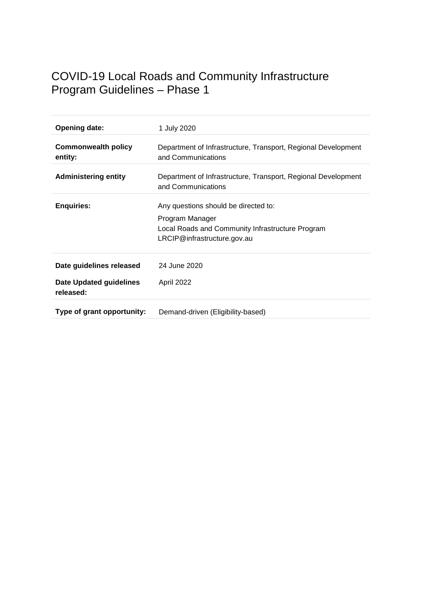# COVID-19 Local Roads and Community Infrastructure Program Guidelines – Phase 1

| <b>Opening date:</b>                                                    | 1 July 2020                                                                                                                                |
|-------------------------------------------------------------------------|--------------------------------------------------------------------------------------------------------------------------------------------|
| <b>Commonwealth policy</b><br>entity:                                   | Department of Infrastructure, Transport, Regional Development<br>and Communications                                                        |
| <b>Administering entity</b>                                             | Department of Infrastructure, Transport, Regional Development<br>and Communications                                                        |
| <b>Enquiries:</b>                                                       | Any questions should be directed to:<br>Program Manager<br>Local Roads and Community Infrastructure Program<br>LRCIP@infrastructure.gov.au |
| Date guidelines released<br><b>Date Updated guidelines</b><br>released: | 24 June 2020<br>April 2022                                                                                                                 |
| Type of grant opportunity:                                              | Demand-driven (Eligibility-based)                                                                                                          |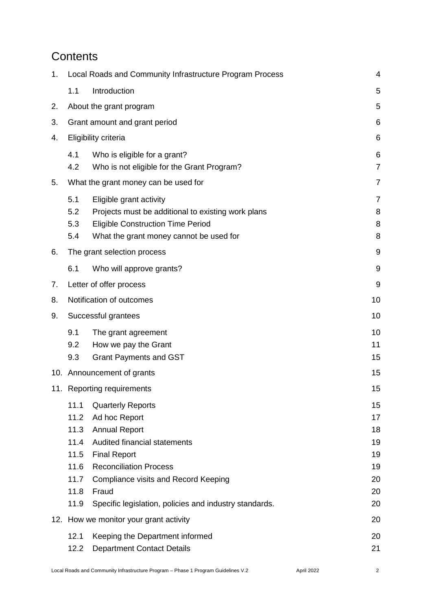## **Contents**

| 1. | Local Roads and Community Infrastructure Program Process<br>4        |                                                                                                                                                                                                                                                                      |                                                    |
|----|----------------------------------------------------------------------|----------------------------------------------------------------------------------------------------------------------------------------------------------------------------------------------------------------------------------------------------------------------|----------------------------------------------------|
|    | 1.1                                                                  | Introduction                                                                                                                                                                                                                                                         | 5                                                  |
| 2. |                                                                      | About the grant program                                                                                                                                                                                                                                              | 5                                                  |
| 3. | $6\phantom{1}6$<br>Grant amount and grant period                     |                                                                                                                                                                                                                                                                      |                                                    |
| 4. |                                                                      | Eligibility criteria                                                                                                                                                                                                                                                 | $\,6$                                              |
|    | 4.1<br>4.2                                                           | Who is eligible for a grant?<br>Who is not eligible for the Grant Program?                                                                                                                                                                                           | 6<br>$\overline{7}$                                |
| 5. |                                                                      | What the grant money can be used for                                                                                                                                                                                                                                 | $\overline{7}$                                     |
|    | 5.1<br>5.2<br>5.3<br>5.4                                             | Eligible grant activity<br>Projects must be additional to existing work plans<br><b>Eligible Construction Time Period</b><br>What the grant money cannot be used for                                                                                                 | $\overline{7}$<br>8<br>8<br>8                      |
| 6. |                                                                      | The grant selection process                                                                                                                                                                                                                                          | $9\,$                                              |
|    | 6.1                                                                  | Who will approve grants?                                                                                                                                                                                                                                             | $9\,$                                              |
| 7. |                                                                      | Letter of offer process                                                                                                                                                                                                                                              | $9\,$                                              |
| 8. | Notification of outcomes                                             |                                                                                                                                                                                                                                                                      | 10                                                 |
| 9. |                                                                      | Successful grantees                                                                                                                                                                                                                                                  | 10                                                 |
|    | 9.1<br>9.2<br>9.3                                                    | The grant agreement<br>How we pay the Grant<br><b>Grant Payments and GST</b>                                                                                                                                                                                         | 10<br>11<br>15                                     |
|    | 10. Announcement of grants                                           |                                                                                                                                                                                                                                                                      | 15                                                 |
|    | 11. Reporting requirements                                           |                                                                                                                                                                                                                                                                      |                                                    |
|    | 11.1<br>11.2<br>11.3<br>11.4<br>11.5<br>11.6<br>11.7<br>11.8<br>11.9 | <b>Quarterly Reports</b><br>Ad hoc Report<br><b>Annual Report</b><br>Audited financial statements<br><b>Final Report</b><br><b>Reconciliation Process</b><br>Compliance visits and Record Keeping<br>Fraud<br>Specific legislation, policies and industry standards. | 15<br>17<br>18<br>19<br>19<br>19<br>20<br>20<br>20 |
|    | 12. How we monitor your grant activity                               |                                                                                                                                                                                                                                                                      | 20                                                 |
|    | 12.1<br>12.2                                                         | Keeping the Department informed<br><b>Department Contact Details</b>                                                                                                                                                                                                 | 20<br>21                                           |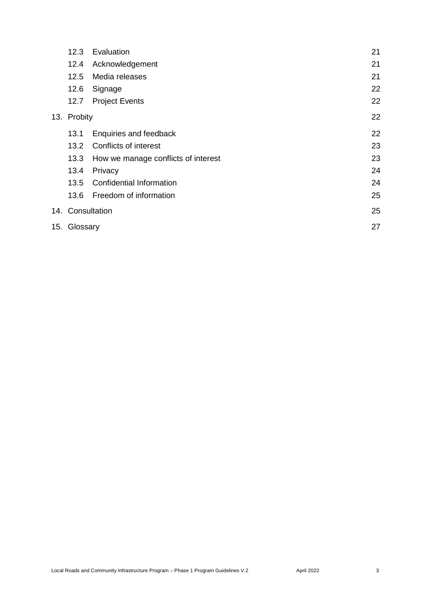|             | 12.3             | Evaluation                          | 21 |
|-------------|------------------|-------------------------------------|----|
|             | 12.4             | Acknowledgement                     | 21 |
|             | 12.5             | Media releases                      | 21 |
|             | 12.6             | Signage                             | 22 |
|             | 12.7             | <b>Project Events</b>               | 22 |
| 13. Probity |                  |                                     | 22 |
|             | 13.1             | Enquiries and feedback              | 22 |
|             | $13.2^{\circ}$   | Conflicts of interest               | 23 |
|             | 13.3             | How we manage conflicts of interest | 23 |
|             | 13.4             | Privacy                             | 24 |
|             | 13.5             | <b>Confidential Information</b>     | 24 |
|             | 13.6             | Freedom of information              | 25 |
|             | 14. Consultation |                                     | 25 |
|             | 15. Glossary     |                                     | 27 |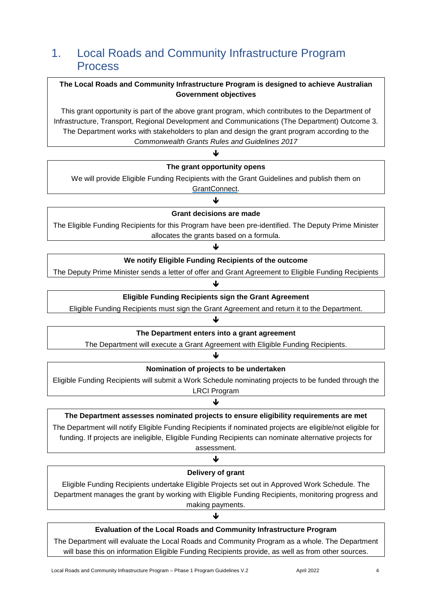## <span id="page-3-0"></span>1. Local Roads and Community Infrastructure Program Process

### **The Local Roads and Community Infrastructure Program is designed to achieve Australian Government objectives**

This grant opportunity is part of the above grant program, which contributes to the Department of Infrastructure, Transport, Regional Development and Communications (The Department) Outcome 3. The Department works with stakeholders to plan and design the grant program according to the *[Commonwealth Grants Rules and Guidelines 2017](https://www.finance.gov.au/sites/default/files/commonwealth-grants-rules-and-guidelines.pdf)*

## ₩ **The grant opportunity opens**  We will provide Eligible Funding Recipients with the Grant Guidelines and publish them on [GrantConnect.](https://www.grants.gov.au/)  $\downarrow$ **Grant decisions are made**  The Eligible Funding Recipients for this Program have been pre-identified. The Deputy Prime Minister allocates the grants based on a formula.

#### J

#### **We notify Eligible Funding Recipients of the outcome**

The Deputy Prime Minister sends a letter of offer and Grant Agreement to Eligible Funding Recipients

#### ↓

#### **Eligible Funding Recipients sign the Grant Agreement**

Eligible Funding Recipients must sign the Grant Agreement and return it to the Department.

#### ↓

#### **The Department enters into a grant agreement**

The Department will execute a Grant Agreement with Eligible Funding Recipients.

#### Ψ

#### **Nomination of projects to be undertaken**

Eligible Funding Recipients will submit a Work Schedule nominating projects to be funded through the LRCI Program

#### ↓

#### **The Department assesses nominated projects to ensure eligibility requirements are met**

The Department will notify Eligible Funding Recipients if nominated projects are eligible/not eligible for funding. If projects are ineligible, Eligible Funding Recipients can nominate alternative projects for assessment.

#### ↓

#### **Delivery of grant**

Eligible Funding Recipients undertake Eligible Projects set out in Approved Work Schedule. The Department manages the grant by working with Eligible Funding Recipients, monitoring progress and making payments.

#### ♦

#### **Evaluation of the Local Roads and Community Infrastructure Program**

The Department will evaluate the Local Roads and Community Program as a whole. The Department will base this on information Eligible Funding Recipients provide, as well as from other sources.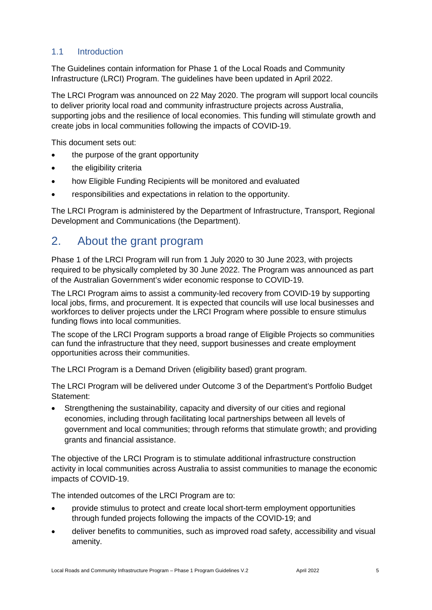## <span id="page-4-0"></span>1.1 Introduction

The Guidelines contain information for Phase 1 of the Local Roads and Community Infrastructure (LRCI) Program. The guidelines have been updated in April 2022.

The LRCI Program was announced on 22 May 2020. The program will support local councils to deliver priority local road and community infrastructure projects across Australia, supporting jobs and the resilience of local economies. This funding will stimulate growth and create jobs in local communities following the impacts of COVID-19.

This document sets out:

- the purpose of the grant opportunity
- the eligibility criteria
- how Eligible Funding Recipients will be monitored and evaluated
- responsibilities and expectations in relation to the opportunity.

The LRCI Program is administered by the Department of Infrastructure, Transport, Regional Development and Communications (the Department).

## <span id="page-4-1"></span>2. About the grant program

Phase 1 of the LRCI Program will run from 1 July 2020 to 30 June 2023, with projects required to be physically completed by 30 June 2022. The Program was announced as part of the Australian Government's wider economic response to COVID-19.

The LRCI Program aims to assist a community-led recovery from COVID-19 by supporting local jobs, firms, and procurement. It is expected that councils will use local businesses and workforces to deliver projects under the LRCI Program where possible to ensure stimulus funding flows into local communities.

The scope of the LRCI Program supports a broad range of Eligible Projects so communities can fund the infrastructure that they need, support businesses and create employment opportunities across their communities.

The LRCI Program is a Demand Driven (eligibility based) grant program.

The LRCI Program will be delivered under Outcome 3 of the Department's Portfolio Budget Statement:

 Strengthening the sustainability, capacity and diversity of our cities and regional economies, including through facilitating local partnerships between all levels of government and local communities; through reforms that stimulate growth; and providing grants and financial assistance.

The objective of the LRCI Program is to stimulate additional infrastructure construction activity in local communities across Australia to assist communities to manage the economic impacts of COVID-19.

The intended outcomes of the LRCI Program are to:

- provide stimulus to protect and create local short-term employment opportunities through funded projects following the impacts of the COVID-19; and
- deliver benefits to communities, such as improved road safety, accessibility and visual amenity.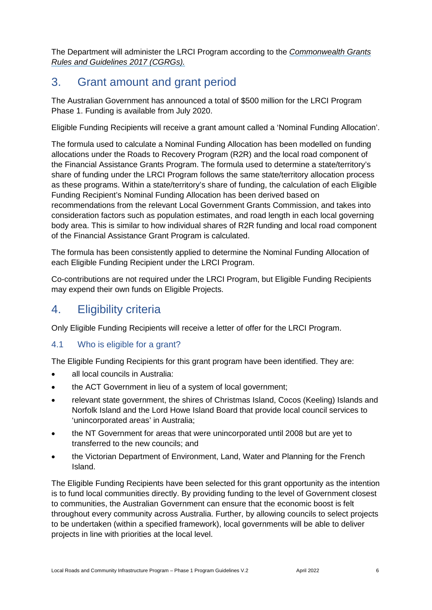The Department will administer the LRCI Program according to the *[Commonwealth Grants](https://www.finance.gov.au/sites/default/files/commonwealth-grants-rules-and-guidelines.pdf)  [Rules and Guidelines 2017 \(CGRGs\).](https://www.finance.gov.au/sites/default/files/commonwealth-grants-rules-and-guidelines.pdf)*

## <span id="page-5-0"></span>3. Grant amount and grant period

The Australian Government has announced a total of \$500 million for the LRCI Program Phase 1. Funding is available from July 2020.

Eligible Funding Recipients will receive a grant amount called a 'Nominal Funding Allocation'.

The formula used to calculate a Nominal Funding Allocation has been modelled on funding allocations under the Roads to Recovery Program (R2R) and the local road component of the Financial Assistance Grants Program. The formula used to determine a state/territory's share of funding under the LRCI Program follows the same state/territory allocation process as these programs. Within a state/territory's share of funding, the calculation of each Eligible Funding Recipient's Nominal Funding Allocation has been derived based on recommendations from the relevant Local Government Grants Commission, and takes into consideration factors such as population estimates, and road length in each local governing body area. This is similar to how individual shares of R2R funding and local road component of the Financial Assistance Grant Program is calculated.

The formula has been consistently applied to determine the Nominal Funding Allocation of each Eligible Funding Recipient under the LRCI Program.

Co-contributions are not required under the LRCI Program, but Eligible Funding Recipients may expend their own funds on Eligible Projects.

## <span id="page-5-1"></span>4. Eligibility criteria

Only Eligible Funding Recipients will receive a letter of offer for the LRCI Program.

## <span id="page-5-2"></span>4.1 Who is eligible for a grant?

The Eligible Funding Recipients for this grant program have been identified. They are:

- all local councils in Australia:
- the ACT Government in lieu of a system of local government;
- relevant state government, the shires of Christmas Island, Cocos (Keeling) Islands and Norfolk Island and the Lord Howe Island Board that provide local council services to 'unincorporated areas' in Australia;
- the NT Government for areas that were unincorporated until 2008 but are yet to transferred to the new councils; and
- the Victorian Department of Environment, Land, Water and Planning for the French Island.

The Eligible Funding Recipients have been selected for this grant opportunity as the intention is to fund local communities directly. By providing funding to the level of Government closest to communities, the Australian Government can ensure that the economic boost is felt throughout every community across Australia. Further, by allowing councils to select projects to be undertaken (within a specified framework), local governments will be able to deliver projects in line with priorities at the local level.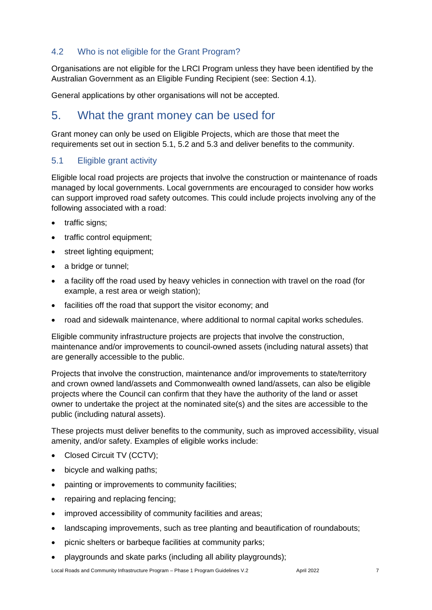## <span id="page-6-0"></span>4.2 Who is not eligible for the Grant Program?

Organisations are not eligible for the LRCI Program unless they have been identified by the Australian Government as an Eligible Funding Recipient (see: Section 4.1).

General applications by other organisations will not be accepted.

## <span id="page-6-1"></span>5. What the grant money can be used for

Grant money can only be used on Eligible Projects, which are those that meet the requirements set out in section 5.1, 5.2 and 5.3 and deliver benefits to the community.

### <span id="page-6-2"></span>5.1 Eligible grant activity

Eligible local road projects are projects that involve the construction or maintenance of roads managed by local governments. Local governments are encouraged to consider how works can support improved road safety outcomes. This could include projects involving any of the following associated with a road:

- traffic signs;
- traffic control equipment;
- street lighting equipment;
- a bridge or tunnel;
- a facility off the road used by heavy vehicles in connection with travel on the road (for example, a rest area or weigh station);
- facilities off the road that support the visitor economy; and
- road and sidewalk maintenance, where additional to normal capital works schedules.

Eligible community infrastructure projects are projects that involve the construction, maintenance and/or improvements to council-owned assets (including natural assets) that are generally accessible to the public.

Projects that involve the construction, maintenance and/or improvements to state/territory and crown owned land/assets and Commonwealth owned land/assets, can also be eligible projects where the Council can confirm that they have the authority of the land or asset owner to undertake the project at the nominated site(s) and the sites are accessible to the public (including natural assets).

These projects must deliver benefits to the community, such as improved accessibility, visual amenity, and/or safety. Examples of eligible works include:

- Closed Circuit TV (CCTV);
- bicycle and walking paths;
- painting or improvements to community facilities;
- repairing and replacing fencing;
- improved accessibility of community facilities and areas;
- landscaping improvements, such as tree planting and beautification of roundabouts;
- picnic shelters or barbeque facilities at community parks;
- playgrounds and skate parks (including all ability playgrounds);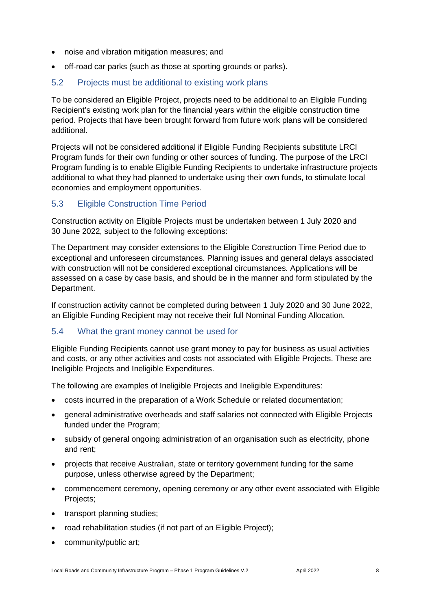- noise and vibration mitigation measures; and
- off-road car parks (such as those at sporting grounds or parks).

#### <span id="page-7-0"></span>5.2 Projects must be additional to existing work plans

To be considered an Eligible Project, projects need to be additional to an Eligible Funding Recipient's existing work plan for the financial years within the eligible construction time period. Projects that have been brought forward from future work plans will be considered additional.

Projects will not be considered additional if Eligible Funding Recipients substitute LRCI Program funds for their own funding or other sources of funding. The purpose of the LRCI Program funding is to enable Eligible Funding Recipients to undertake infrastructure projects additional to what they had planned to undertake using their own funds, to stimulate local economies and employment opportunities.

#### <span id="page-7-1"></span>5.3 Eligible Construction Time Period

Construction activity on Eligible Projects must be undertaken between 1 July 2020 and 30 June 2022, subject to the following exceptions:

The Department may consider extensions to the Eligible Construction Time Period due to exceptional and unforeseen circumstances. Planning issues and general delays associated with construction will not be considered exceptional circumstances. Applications will be assessed on a case by case basis, and should be in the manner and form stipulated by the Department.

If construction activity cannot be completed during between 1 July 2020 and 30 June 2022, an Eligible Funding Recipient may not receive their full Nominal Funding Allocation.

#### <span id="page-7-2"></span>5.4 What the grant money cannot be used for

Eligible Funding Recipients cannot use grant money to pay for business as usual activities and costs, or any other activities and costs not associated with Eligible Projects. These are Ineligible Projects and Ineligible Expenditures.

The following are examples of Ineligible Projects and Ineligible Expenditures:

- costs incurred in the preparation of a Work Schedule or related documentation;
- general administrative overheads and staff salaries not connected with Eligible Projects funded under the Program;
- subsidy of general ongoing administration of an organisation such as electricity, phone and rent;
- projects that receive Australian, state or territory government funding for the same purpose, unless otherwise agreed by the Department;
- commencement ceremony, opening ceremony or any other event associated with Eligible Projects;
- transport planning studies;
- road rehabilitation studies (if not part of an Eligible Project);
- community/public art;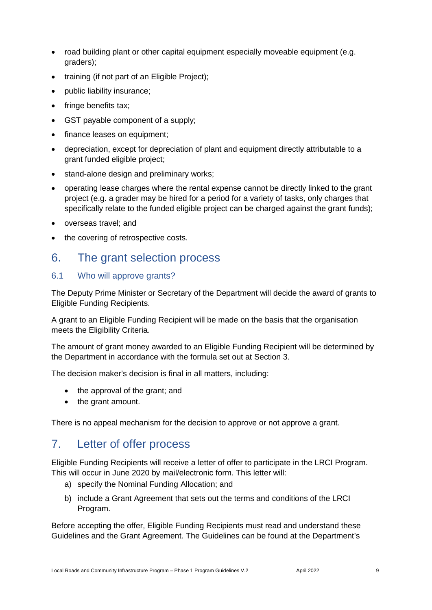- road building plant or other capital equipment especially moveable equipment (e.g. graders);
- training (if not part of an Eligible Project);
- public liability insurance;
- fringe benefits tax;
- GST payable component of a supply;
- finance leases on equipment;
- depreciation, except for depreciation of plant and equipment directly attributable to a grant funded eligible project;
- stand-alone design and preliminary works;
- operating lease charges where the rental expense cannot be directly linked to the grant project (e.g. a grader may be hired for a period for a variety of tasks, only charges that specifically relate to the funded eligible project can be charged against the grant funds);
- overseas travel; and
- the covering of retrospective costs.

## <span id="page-8-0"></span>6. The grant selection process

### <span id="page-8-1"></span>6.1 Who will approve grants?

The Deputy Prime Minister or Secretary of the Department will decide the award of grants to Eligible Funding Recipients.

A grant to an Eligible Funding Recipient will be made on the basis that the organisation meets the Eligibility Criteria.

The amount of grant money awarded to an Eligible Funding Recipient will be determined by the Department in accordance with the formula set out at Section 3.

The decision maker's decision is final in all matters, including:

- the approval of the grant; and
- the grant amount.

There is no appeal mechanism for the decision to approve or not approve a grant.

## <span id="page-8-2"></span>7. Letter of offer process

Eligible Funding Recipients will receive a letter of offer to participate in the LRCI Program. This will occur in June 2020 by mail/electronic form. This letter will:

- a) specify the Nominal Funding Allocation; and
- b) include a Grant Agreement that sets out the terms and conditions of the LRCI Program.

Before accepting the offer, Eligible Funding Recipients must read and understand these Guidelines and the Grant Agreement. The Guidelines can be found at the Department's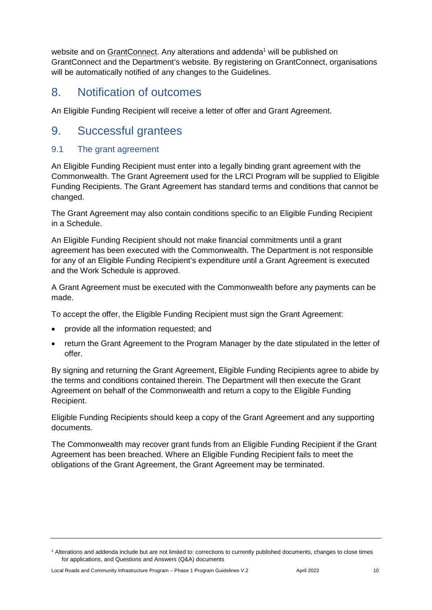website and on [GrantConnect.](http://www.grants.gov.au/) Any alterations and addenda<sup>1</sup> will be published on GrantConnect and the Department's website. By registering on GrantConnect, organisations will be automatically notified of any changes to the Guidelines.

## <span id="page-9-0"></span>8. Notification of outcomes

An Eligible Funding Recipient will receive a letter of offer and Grant Agreement.

## <span id="page-9-1"></span>9. Successful grantees

## <span id="page-9-2"></span>9.1 The grant agreement

An Eligible Funding Recipient must enter into a legally binding grant agreement with the Commonwealth. The Grant Agreement used for the LRCI Program will be supplied to Eligible Funding Recipients. The Grant Agreement has standard terms and conditions that cannot be changed.

The Grant Agreement may also contain conditions specific to an Eligible Funding Recipient in a Schedule.

An Eligible Funding Recipient should not make financial commitments until a grant agreement has been executed with the Commonwealth. The Department is not responsible for any of an Eligible Funding Recipient's expenditure until a Grant Agreement is executed and the Work Schedule is approved.

A Grant Agreement must be executed with the Commonwealth before any payments can be made.

To accept the offer, the Eligible Funding Recipient must sign the Grant Agreement:

- provide all the information requested; and
- return the Grant Agreement to the Program Manager by the date stipulated in the letter of offer.

By signing and returning the Grant Agreement, Eligible Funding Recipients agree to abide by the terms and conditions contained therein. The Department will then execute the Grant Agreement on behalf of the Commonwealth and return a copy to the Eligible Funding Recipient.

Eligible Funding Recipients should keep a copy of the Grant Agreement and any supporting documents.

The Commonwealth may recover grant funds from an Eligible Funding Recipient if the Grant Agreement has been breached. Where an Eligible Funding Recipient fails to meet the obligations of the Grant Agreement, the Grant Agreement may be terminated.

<sup>1</sup> Alterations and addenda include but are not limited to: corrections to currently published documents, changes to close times for applications, and Questions and Answers (Q&A) documents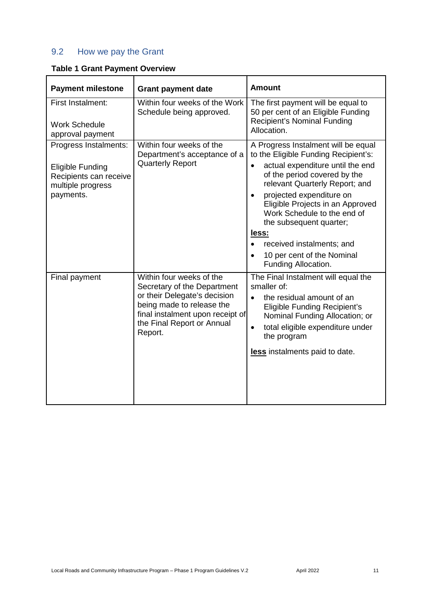## <span id="page-10-0"></span>9.2 How we pay the Grant

|  |  |  | <b>Table 1 Grant Payment Overview</b> |
|--|--|--|---------------------------------------|
|--|--|--|---------------------------------------|

| <b>Payment milestone</b>                                                                                     | <b>Grant payment date</b>                                                                                                                                                                         | <b>Amount</b>                                                                                                                                                                                                                                                                                                                                                                                                                    |
|--------------------------------------------------------------------------------------------------------------|---------------------------------------------------------------------------------------------------------------------------------------------------------------------------------------------------|----------------------------------------------------------------------------------------------------------------------------------------------------------------------------------------------------------------------------------------------------------------------------------------------------------------------------------------------------------------------------------------------------------------------------------|
| First Instalment:<br><b>Work Schedule</b><br>approval payment                                                | Within four weeks of the Work<br>Schedule being approved.                                                                                                                                         | The first payment will be equal to<br>50 per cent of an Eligible Funding<br><b>Recipient's Nominal Funding</b><br>Allocation.                                                                                                                                                                                                                                                                                                    |
| Progress Instalments:<br><b>Eligible Funding</b><br>Recipients can receive<br>multiple progress<br>payments. | Within four weeks of the<br>Department's acceptance of a<br><b>Quarterly Report</b>                                                                                                               | A Progress Instalment will be equal<br>to the Eligible Funding Recipient's:<br>actual expenditure until the end<br>$\bullet$<br>of the period covered by the<br>relevant Quarterly Report; and<br>projected expenditure on<br>$\bullet$<br>Eligible Projects in an Approved<br>Work Schedule to the end of<br>the subsequent quarter;<br>less:<br>received instalments; and<br>10 per cent of the Nominal<br>Funding Allocation. |
| Final payment                                                                                                | Within four weeks of the<br>Secretary of the Department<br>or their Delegate's decision<br>being made to release the<br>final instalment upon receipt of<br>the Final Report or Annual<br>Report. | The Final Instalment will equal the<br>smaller of:<br>the residual amount of an<br>$\bullet$<br><b>Eligible Funding Recipient's</b><br>Nominal Funding Allocation; or<br>total eligible expenditure under<br>$\bullet$<br>the program<br>less instalments paid to date.                                                                                                                                                          |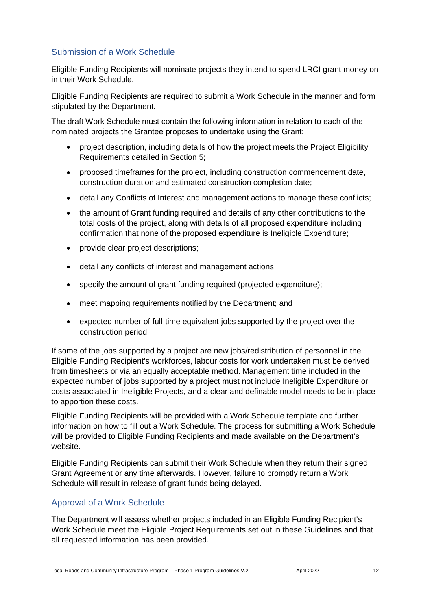## Submission of a Work Schedule

Eligible Funding Recipients will nominate projects they intend to spend LRCI grant money on in their Work Schedule.

Eligible Funding Recipients are required to submit a Work Schedule in the manner and form stipulated by the Department.

The draft Work Schedule must contain the following information in relation to each of the nominated projects the Grantee proposes to undertake using the Grant:

- project description, including details of how the project meets the Project Eligibility Requirements detailed in Section 5;
- proposed timeframes for the project, including construction commencement date, construction duration and estimated construction completion date;
- detail any Conflicts of Interest and management actions to manage these conflicts;
- the amount of Grant funding required and details of any other contributions to the total costs of the project, along with details of all proposed expenditure including confirmation that none of the proposed expenditure is Ineligible Expenditure;
- provide clear project descriptions;
- detail any conflicts of interest and management actions;
- specify the amount of grant funding required (projected expenditure);
- meet mapping requirements notified by the Department; and
- expected number of full-time equivalent jobs supported by the project over the construction period.

If some of the jobs supported by a project are new jobs/redistribution of personnel in the Eligible Funding Recipient's workforces, labour costs for work undertaken must be derived from timesheets or via an equally acceptable method. Management time included in the expected number of jobs supported by a project must not include Ineligible Expenditure or costs associated in Ineligible Projects, and a clear and definable model needs to be in place to apportion these costs.

Eligible Funding Recipients will be provided with a Work Schedule template and further information on how to fill out a Work Schedule. The process for submitting a Work Schedule will be provided to Eligible Funding Recipients and made available on the Department's website.

Eligible Funding Recipients can submit their Work Schedule when they return their signed Grant Agreement or any time afterwards. However, failure to promptly return a Work Schedule will result in release of grant funds being delayed.

## Approval of a Work Schedule

The Department will assess whether projects included in an Eligible Funding Recipient's Work Schedule meet the Eligible Project Requirements set out in these Guidelines and that all requested information has been provided.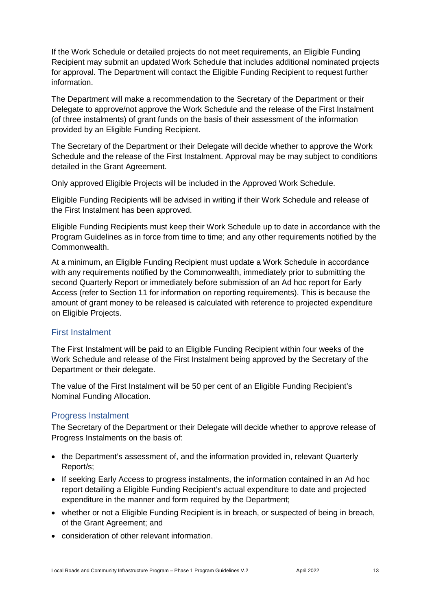If the Work Schedule or detailed projects do not meet requirements, an Eligible Funding Recipient may submit an updated Work Schedule that includes additional nominated projects for approval. The Department will contact the Eligible Funding Recipient to request further information.

The Department will make a recommendation to the Secretary of the Department or their Delegate to approve/not approve the Work Schedule and the release of the First Instalment (of three instalments) of grant funds on the basis of their assessment of the information provided by an Eligible Funding Recipient.

The Secretary of the Department or their Delegate will decide whether to approve the Work Schedule and the release of the First Instalment. Approval may be may subject to conditions detailed in the Grant Agreement.

Only approved Eligible Projects will be included in the Approved Work Schedule.

Eligible Funding Recipients will be advised in writing if their Work Schedule and release of the First Instalment has been approved.

Eligible Funding Recipients must keep their Work Schedule up to date in accordance with the Program Guidelines as in force from time to time; and any other requirements notified by the Commonwealth.

At a minimum, an Eligible Funding Recipient must update a Work Schedule in accordance with any requirements notified by the Commonwealth, immediately prior to submitting the second Quarterly Report or immediately before submission of an Ad hoc report for Early Access (refer to Section 11 for information on reporting requirements). This is because the amount of grant money to be released is calculated with reference to projected expenditure on Eligible Projects.

### First Instalment

The First Instalment will be paid to an Eligible Funding Recipient within four weeks of the Work Schedule and release of the First Instalment being approved by the Secretary of the Department or their delegate.

The value of the First Instalment will be 50 per cent of an Eligible Funding Recipient's Nominal Funding Allocation.

### Progress Instalment

The Secretary of the Department or their Delegate will decide whether to approve release of Progress Instalments on the basis of:

- the Department's assessment of, and the information provided in, relevant Quarterly Report/s;
- If seeking Early Access to progress instalments, the information contained in an Ad hoc report detailing a Eligible Funding Recipient's actual expenditure to date and projected expenditure in the manner and form required by the Department;
- whether or not a Eligible Funding Recipient is in breach, or suspected of being in breach, of the Grant Agreement; and
- consideration of other relevant information.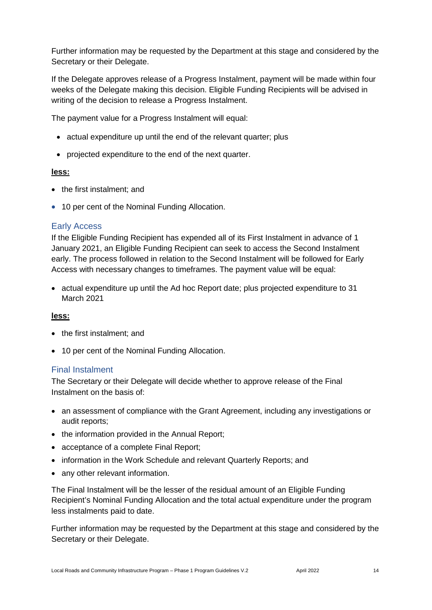Further information may be requested by the Department at this stage and considered by the Secretary or their Delegate.

If the Delegate approves release of a Progress Instalment, payment will be made within four weeks of the Delegate making this decision. Eligible Funding Recipients will be advised in writing of the decision to release a Progress Instalment.

The payment value for a Progress Instalment will equal:

- actual expenditure up until the end of the relevant quarter; plus
- projected expenditure to the end of the next quarter.

#### **less:**

- the first instalment: and
- 10 per cent of the Nominal Funding Allocation.

#### Early Access

If the Eligible Funding Recipient has expended all of its First Instalment in advance of 1 January 2021, an Eligible Funding Recipient can seek to access the Second Instalment early. The process followed in relation to the Second Instalment will be followed for Early Access with necessary changes to timeframes. The payment value will be equal:

 actual expenditure up until the Ad hoc Report date; plus projected expenditure to 31 March 2021

#### **less:**

- the first instalment: and
- 10 per cent of the Nominal Funding Allocation.

#### Final Instalment

The Secretary or their Delegate will decide whether to approve release of the Final Instalment on the basis of:

- an assessment of compliance with the Grant Agreement, including any investigations or audit reports;
- the information provided in the Annual Report;
- acceptance of a complete Final Report;
- information in the Work Schedule and relevant Quarterly Reports; and
- any other relevant information.

The Final Instalment will be the lesser of the residual amount of an Eligible Funding Recipient's Nominal Funding Allocation and the total actual expenditure under the program less instalments paid to date.

Further information may be requested by the Department at this stage and considered by the Secretary or their Delegate.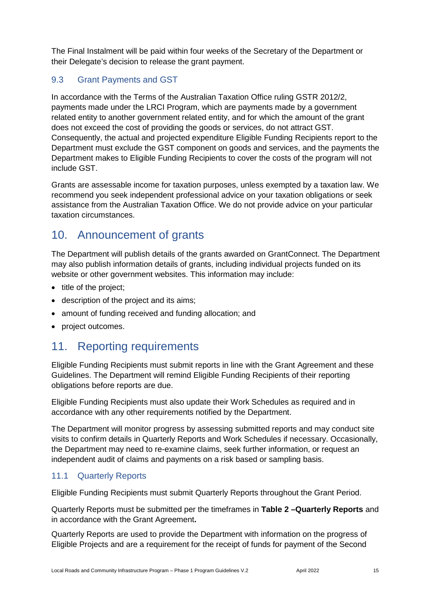The Final Instalment will be paid within four weeks of the Secretary of the Department or their Delegate's decision to release the grant payment.

## <span id="page-14-0"></span>9.3 Grant Payments and GST

In accordance with the Terms of the Australian Taxation Office ruling GSTR 2012/2, payments made under the LRCI Program, which are payments made by a government related entity to another government related entity, and for which the amount of the grant does not exceed the cost of providing the goods or services, do not attract GST. Consequently, the actual and projected expenditure Eligible Funding Recipients report to the Department must exclude the GST component on goods and services, and the payments the Department makes to Eligible Funding Recipients to cover the costs of the program will not include GST.

Grants are assessable income for taxation purposes, unless exempted by a taxation law. We recommend you seek independent professional advice on your taxation obligations or seek assistance from the [Australian Taxation Office.](https://www.ato.gov.au/) We do not provide advice on your particular taxation circumstances.

## <span id="page-14-1"></span>10. Announcement of grants

The Department will publish details of the grants awarded on GrantConnect. The Department may also publish information details of grants, including individual projects funded on its website or other government websites. This information may include:

- title of the project;
- description of the project and its aims;
- amount of funding received and funding allocation; and
- project outcomes.

## <span id="page-14-2"></span>11. Reporting requirements

Eligible Funding Recipients must submit reports in line with the Grant Agreement and these Guidelines. The Department will remind Eligible Funding Recipients of their reporting obligations before reports are due.

Eligible Funding Recipients must also update their Work Schedules as required and in accordance with any other requirements notified by the Department.

The Department will monitor progress by assessing submitted reports and may conduct site visits to confirm details in Quarterly Reports and Work Schedules if necessary. Occasionally, the Department may need to re-examine claims, seek further information, or request an independent audit of claims and payments on a risk based or sampling basis.

## <span id="page-14-3"></span>11.1 Quarterly Reports

Eligible Funding Recipients must submit Quarterly Reports throughout the Grant Period.

Quarterly Reports must be submitted per the timeframes in **Table 2 –Quarterly Reports** and in accordance with the Grant Agreement**.** 

Quarterly Reports are used to provide the Department with information on the progress of Eligible Projects and are a requirement for the receipt of funds for payment of the Second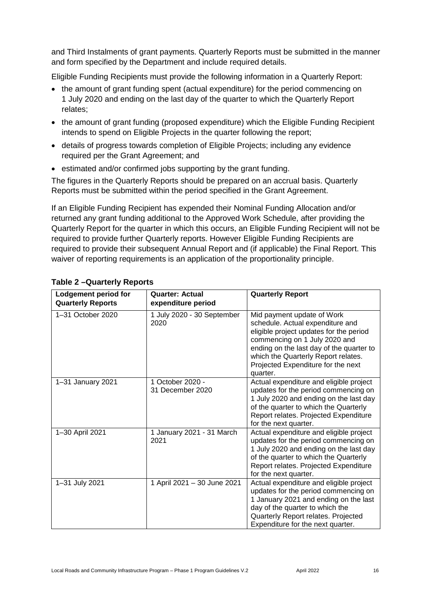and Third Instalments of grant payments. Quarterly Reports must be submitted in the manner and form specified by the Department and include required details.

Eligible Funding Recipients must provide the following information in a Quarterly Report:

- the amount of grant funding spent (actual expenditure) for the period commencing on 1 July 2020 and ending on the last day of the quarter to which the Quarterly Report relates;
- the amount of grant funding (proposed expenditure) which the Eligible Funding Recipient intends to spend on Eligible Projects in the quarter following the report;
- details of progress towards completion of Eligible Projects; including any evidence required per the Grant Agreement; and
- **e** estimated and/or confirmed jobs supporting by the grant funding.

The figures in the Quarterly Reports should be prepared on an accrual basis. Quarterly Reports must be submitted within the period specified in the Grant Agreement.

If an Eligible Funding Recipient has expended their Nominal Funding Allocation and/or returned any grant funding additional to the Approved Work Schedule, after providing the Quarterly Report for the quarter in which this occurs, an Eligible Funding Recipient will not be required to provide further Quarterly reports. However Eligible Funding Recipients are required to provide their subsequent Annual Report and (if applicable) the Final Report. This waiver of reporting requirements is an application of the proportionality principle.

| Lodgement period for<br><b>Quarterly Reports</b> | <b>Quarter: Actual</b><br>expenditure period | <b>Quarterly Report</b>                                                                                                                                                                                                                                                         |
|--------------------------------------------------|----------------------------------------------|---------------------------------------------------------------------------------------------------------------------------------------------------------------------------------------------------------------------------------------------------------------------------------|
| 1-31 October 2020                                | 1 July 2020 - 30 September<br>2020           | Mid payment update of Work<br>schedule. Actual expenditure and<br>eligible project updates for the period<br>commencing on 1 July 2020 and<br>ending on the last day of the quarter to<br>which the Quarterly Report relates.<br>Projected Expenditure for the next<br>quarter. |
| 1-31 January 2021                                | 1 October 2020 -<br>31 December 2020         | Actual expenditure and eligible project<br>updates for the period commencing on<br>1 July 2020 and ending on the last day<br>of the quarter to which the Quarterly<br>Report relates. Projected Expenditure<br>for the next quarter.                                            |
| 1-30 April 2021                                  | 1 January 2021 - 31 March<br>2021            | Actual expenditure and eligible project<br>updates for the period commencing on<br>1 July 2020 and ending on the last day<br>of the quarter to which the Quarterly<br>Report relates. Projected Expenditure<br>for the next quarter.                                            |
| 1-31 July 2021                                   | 1 April 2021 - 30 June 2021                  | Actual expenditure and eligible project<br>updates for the period commencing on<br>1 January 2021 and ending on the last<br>day of the quarter to which the<br>Quarterly Report relates. Projected<br>Expenditure for the next quarter.                                         |

### **Table 2 –Quarterly Reports**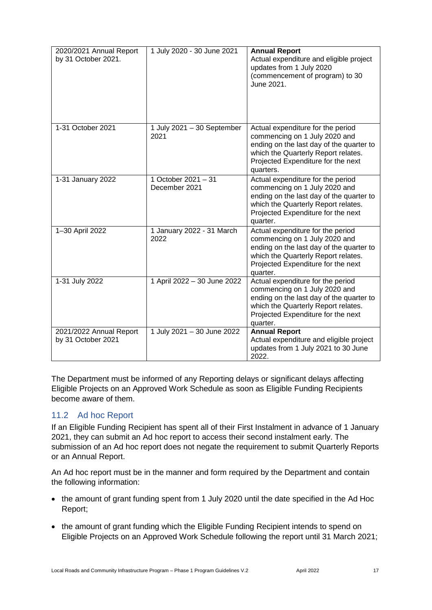| 2020/2021 Annual Report<br>by 31 October 2021. | 1 July 2020 - 30 June 2021           | <b>Annual Report</b><br>Actual expenditure and eligible project<br>updates from 1 July 2020<br>(commencement of program) to 30<br>June 2021.                                                             |
|------------------------------------------------|--------------------------------------|----------------------------------------------------------------------------------------------------------------------------------------------------------------------------------------------------------|
| 1-31 October 2021                              | 1 July 2021 - 30 September<br>2021   | Actual expenditure for the period<br>commencing on 1 July 2020 and<br>ending on the last day of the quarter to<br>which the Quarterly Report relates.<br>Projected Expenditure for the next<br>quarters. |
| 1-31 January 2022                              | 1 October 2021 - 31<br>December 2021 | Actual expenditure for the period<br>commencing on 1 July 2020 and<br>ending on the last day of the quarter to<br>which the Quarterly Report relates.<br>Projected Expenditure for the next<br>quarter.  |
| 1-30 April 2022                                | 1 January 2022 - 31 March<br>2022    | Actual expenditure for the period<br>commencing on 1 July 2020 and<br>ending on the last day of the quarter to<br>which the Quarterly Report relates.<br>Projected Expenditure for the next<br>quarter.  |
| 1-31 July 2022                                 | 1 April 2022 - 30 June 2022          | Actual expenditure for the period<br>commencing on 1 July 2020 and<br>ending on the last day of the quarter to<br>which the Quarterly Report relates.<br>Projected Expenditure for the next<br>quarter.  |
| 2021/2022 Annual Report<br>by 31 October 2021  | 1 July 2021 - 30 June 2022           | <b>Annual Report</b><br>Actual expenditure and eligible project<br>updates from 1 July 2021 to 30 June<br>2022.                                                                                          |

The Department must be informed of any Reporting delays or significant delays affecting Eligible Projects on an Approved Work Schedule as soon as Eligible Funding Recipients become aware of them.

## <span id="page-16-0"></span>11.2 Ad hoc Report

If an Eligible Funding Recipient has spent all of their First Instalment in advance of 1 January 2021, they can submit an Ad hoc report to access their second instalment early. The submission of an Ad hoc report does not negate the requirement to submit Quarterly Reports or an Annual Report.

An Ad hoc report must be in the manner and form required by the Department and contain the following information:

- the amount of grant funding spent from 1 July 2020 until the date specified in the Ad Hoc Report;
- the amount of grant funding which the Eligible Funding Recipient intends to spend on Eligible Projects on an Approved Work Schedule following the report until 31 March 2021;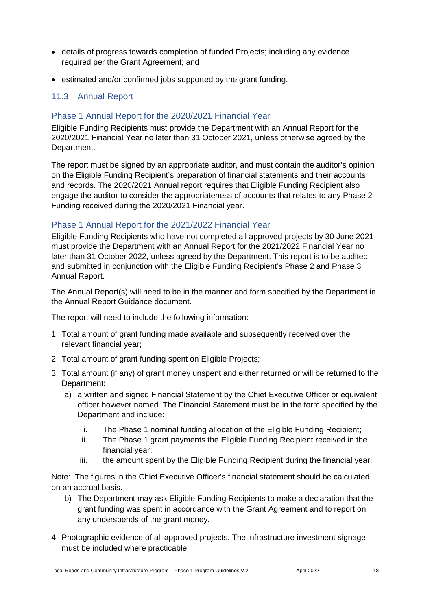- details of progress towards completion of funded Projects; including any evidence required per the Grant Agreement; and
- estimated and/or confirmed jobs supported by the grant funding.

## <span id="page-17-0"></span>11.3 Annual Report

### Phase 1 Annual Report for the 2020/2021 Financial Year

Eligible Funding Recipients must provide the Department with an Annual Report for the 2020/2021 Financial Year no later than 31 October 2021, unless otherwise agreed by the Department.

The report must be signed by an appropriate auditor, and must contain the auditor's opinion on the Eligible Funding Recipient's preparation of financial statements and their accounts and records. The 2020/2021 Annual report requires that Eligible Funding Recipient also engage the auditor to consider the appropriateness of accounts that relates to any Phase 2 Funding received during the 2020/2021 Financial year.

### Phase 1 Annual Report for the 2021/2022 Financial Year

Eligible Funding Recipients who have not completed all approved projects by 30 June 2021 must provide the Department with an Annual Report for the 2021/2022 Financial Year no later than 31 October 2022, unless agreed by the Department. This report is to be audited and submitted in conjunction with the Eligible Funding Recipient's Phase 2 and Phase 3 Annual Report.

The Annual Report(s) will need to be in the manner and form specified by the Department in the Annual Report Guidance document.

The report will need to include the following information:

- 1. Total amount of grant funding made available and subsequently received over the relevant financial year;
- 2. Total amount of grant funding spent on Eligible Projects;
- 3. Total amount (if any) of grant money unspent and either returned or will be returned to the Department:
	- a) a written and signed Financial Statement by the Chief Executive Officer or equivalent officer however named. The Financial Statement must be in the form specified by the Department and include:
		- i. The Phase 1 nominal funding allocation of the Eligible Funding Recipient;
		- ii. The Phase 1 grant payments the Eligible Funding Recipient received in the financial year;
		- iii. the amount spent by the Eligible Funding Recipient during the financial year;

Note: The figures in the Chief Executive Officer's financial statement should be calculated on an accrual basis.

- b) The Department may ask Eligible Funding Recipients to make a declaration that the grant funding was spent in accordance with the Grant Agreement and to report on any underspends of the grant money.
- 4. Photographic evidence of all approved projects. The infrastructure investment signage must be included where practicable.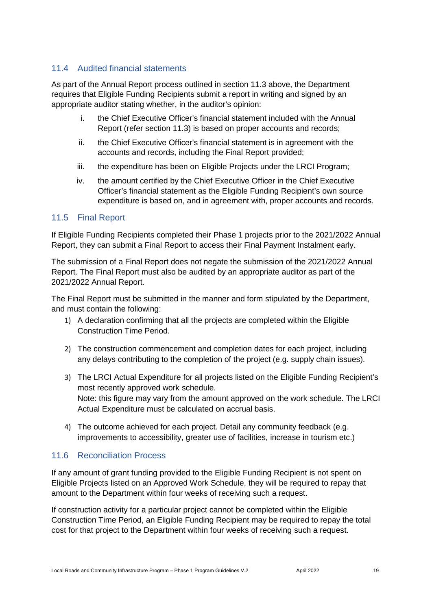## <span id="page-18-0"></span>11.4 Audited financial statements

As part of the Annual Report process outlined in section 11.3 above, the Department requires that Eligible Funding Recipients submit a report in writing and signed by an appropriate auditor stating whether, in the auditor's opinion:

- i. the Chief Executive Officer's financial statement included with the Annual Report (refer section 11.3) is based on proper accounts and records;
- ii. the Chief Executive Officer's financial statement is in agreement with the accounts and records, including the Final Report provided;
- iii. the expenditure has been on Eligible Projects under the LRCI Program;
- iv. the amount certified by the Chief Executive Officer in the Chief Executive Officer's financial statement as the Eligible Funding Recipient's own source expenditure is based on, and in agreement with, proper accounts and records.

## <span id="page-18-1"></span>11.5 Final Report

If Eligible Funding Recipients completed their Phase 1 projects prior to the 2021/2022 Annual Report, they can submit a Final Report to access their Final Payment Instalment early.

The submission of a Final Report does not negate the submission of the 2021/2022 Annual Report. The Final Report must also be audited by an appropriate auditor as part of the 2021/2022 Annual Report.

The Final Report must be submitted in the manner and form stipulated by the Department, and must contain the following:

- 1) A declaration confirming that all the projects are completed within the Eligible Construction Time Period.
- 2) The construction commencement and completion dates for each project, including any delays contributing to the completion of the project (e.g. supply chain issues).
- 3) The LRCI Actual Expenditure for all projects listed on the Eligible Funding Recipient's most recently approved work schedule. Note: this figure may vary from the amount approved on the work schedule. The LRCI Actual Expenditure must be calculated on accrual basis.
- 4) The outcome achieved for each project. Detail any community feedback (e.g. improvements to accessibility, greater use of facilities, increase in tourism etc.)

### <span id="page-18-2"></span>11.6 Reconciliation Process

If any amount of grant funding provided to the Eligible Funding Recipient is not spent on Eligible Projects listed on an Approved Work Schedule, they will be required to repay that amount to the Department within four weeks of receiving such a request.

If construction activity for a particular project cannot be completed within the Eligible Construction Time Period, an Eligible Funding Recipient may be required to repay the total cost for that project to the Department within four weeks of receiving such a request.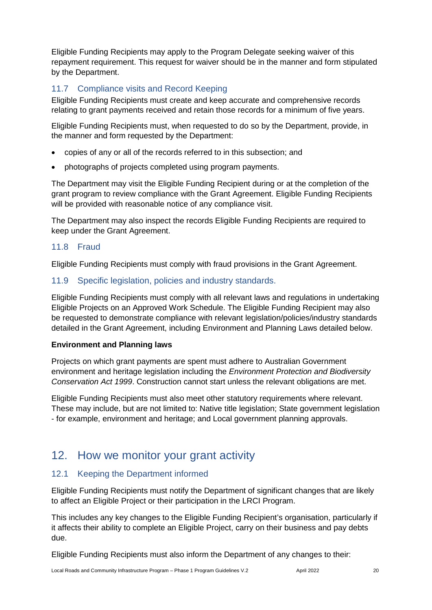Eligible Funding Recipients may apply to the Program Delegate seeking waiver of this repayment requirement. This request for waiver should be in the manner and form stipulated by the Department.

## <span id="page-19-0"></span>11.7 Compliance visits and Record Keeping

Eligible Funding Recipients must create and keep accurate and comprehensive records relating to grant payments received and retain those records for a minimum of five years.

Eligible Funding Recipients must, when requested to do so by the Department, provide, in the manner and form requested by the Department:

- copies of any or all of the records referred to in this subsection; and
- photographs of projects completed using program payments.

The Department may visit the Eligible Funding Recipient during or at the completion of the grant program to review compliance with the Grant Agreement. Eligible Funding Recipients will be provided with reasonable notice of any compliance visit.

The Department may also inspect the records Eligible Funding Recipients are required to keep under the Grant Agreement.

### <span id="page-19-1"></span>11.8 Fraud

Eligible Funding Recipients must comply with fraud provisions in the Grant Agreement.

### <span id="page-19-2"></span>11.9 Specific legislation, policies and industry standards.

Eligible Funding Recipients must comply with all relevant laws and regulations in undertaking Eligible Projects on an Approved Work Schedule. The Eligible Funding Recipient may also be requested to demonstrate compliance with relevant legislation/policies/industry standards detailed in the Grant Agreement, including Environment and Planning Laws detailed below.

#### **Environment and Planning laws**

Projects on which grant payments are spent must adhere to Australian Government environment and heritage legislation including the *Environment Protection and Biodiversity Conservation Act 1999*. Construction cannot start unless the relevant obligations are met.

Eligible Funding Recipients must also meet other statutory requirements where relevant. These may include, but are not limited to: Native title legislation; State government legislation - for example, environment and heritage; and Local government planning approvals.

## <span id="page-19-3"></span>12. How we monitor your grant activity

## <span id="page-19-4"></span>12.1 Keeping the Department informed

Eligible Funding Recipients must notify the Department of significant changes that are likely to affect an Eligible Project or their participation in the LRCI Program.

This includes any key changes to the Eligible Funding Recipient's organisation, particularly if it affects their ability to complete an Eligible Project, carry on their business and pay debts due.

Eligible Funding Recipients must also inform the Department of any changes to their: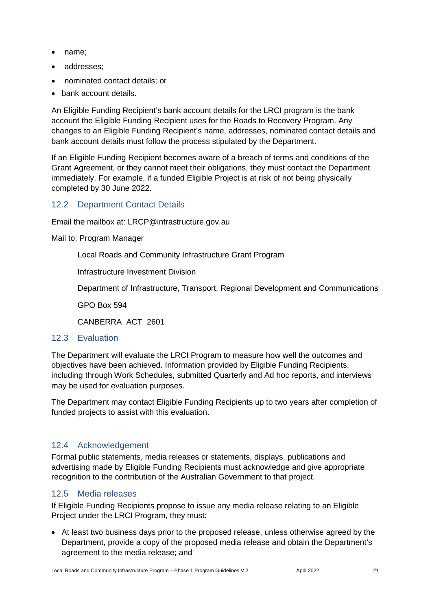- name:
- addresses;
- nominated contact details; or
- bank account details.

An Eligible Funding Recipient's bank account details for the LRCI program is the bank account the Eligible Funding Recipient uses for the Roads to Recovery Program. Any changes to an Eligible Funding Recipient's name, addresses, nominated contact details and bank account details must follow the process stipulated by the Department.

If an Eligible Funding Recipient becomes aware of a breach of terms and conditions of the Grant Agreement, or they cannot meet their obligations, they must contact the Department immediately. For example, if a funded Eligible Project is at risk of not being physically completed by 30 June 2022.

## <span id="page-20-0"></span>12.2 Department Contact Details

Email the mailbox at: LRCP@infrastructure.gov.au

Mail to: Program Manager

Local Roads and Community Infrastructure Grant Program

Infrastructure Investment Division

Department of Infrastructure, Transport, Regional Development and Communications

GPO Box 594

CANBERRA ACT 2601

### <span id="page-20-1"></span>12.3 Evaluation

The Department will evaluate the LRCI Program to measure how well the outcomes and objectives have been achieved. Information provided by Eligible Funding Recipients, including through Work Schedules, submitted Quarterly and Ad hoc reports, and interviews may be used for evaluation purposes.

The Department may contact Eligible Funding Recipients up to two years after completion of funded projects to assist with this evaluation.

### <span id="page-20-2"></span>12.4 Acknowledgement

Formal public statements, media releases or statements, displays, publications and advertising made by Eligible Funding Recipients must acknowledge and give appropriate recognition to the contribution of the Australian Government to that project.

### <span id="page-20-3"></span>12.5 Media releases

If Eligible Funding Recipients propose to issue any media release relating to an Eligible Project under the LRCI Program, they must:

• At least two business days prior to the proposed release, unless otherwise agreed by the Department, provide a copy of the proposed media release and obtain the Department's agreement to the media release; and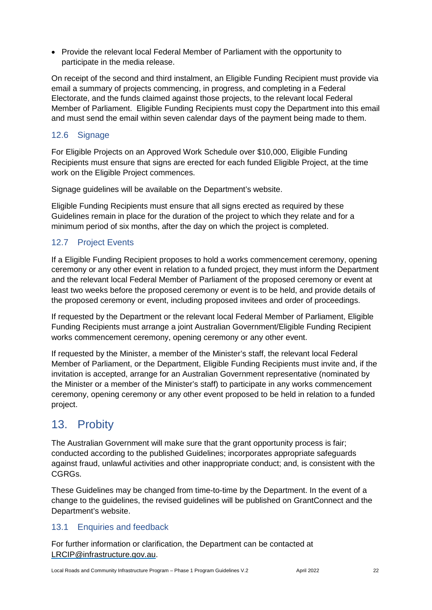• Provide the relevant local Federal Member of Parliament with the opportunity to participate in the media release.

On receipt of the second and third instalment, an Eligible Funding Recipient must provide via email a summary of projects commencing, in progress, and completing in a Federal Electorate, and the funds claimed against those projects, to the relevant local Federal Member of Parliament. Eligible Funding Recipients must copy the Department into this email and must send the email within seven calendar days of the payment being made to them.

## <span id="page-21-0"></span>12.6 Signage

For Eligible Projects on an Approved Work Schedule over \$10,000, Eligible Funding Recipients must ensure that signs are erected for each funded Eligible Project, at the time work on the Eligible Project commences.

Signage guidelines will be available on the Department's website.

Eligible Funding Recipients must ensure that all signs erected as required by these Guidelines remain in place for the duration of the project to which they relate and for a minimum period of six months, after the day on which the project is completed.

## <span id="page-21-1"></span>12.7 Project Events

If a Eligible Funding Recipient proposes to hold a works commencement ceremony, opening ceremony or any other event in relation to a funded project, they must inform the Department and the relevant local Federal Member of Parliament of the proposed ceremony or event at least two weeks before the proposed ceremony or event is to be held, and provide details of the proposed ceremony or event, including proposed invitees and order of proceedings.

If requested by the Department or the relevant local Federal Member of Parliament, Eligible Funding Recipients must arrange a joint Australian Government/Eligible Funding Recipient works commencement ceremony, opening ceremony or any other event.

If requested by the Minister, a member of the Minister's staff, the relevant local Federal Member of Parliament, or the Department, Eligible Funding Recipients must invite and, if the invitation is accepted, arrange for an Australian Government representative (nominated by the Minister or a member of the Minister's staff) to participate in any works commencement ceremony, opening ceremony or any other event proposed to be held in relation to a funded project.

## <span id="page-21-2"></span>13. Probity

The Australian Government will make sure that the grant opportunity process is fair; conducted according to the published Guidelines; incorporates appropriate safeguards against fraud, unlawful activities and other inappropriate conduct; and, is consistent with the CGRGs.

These Guidelines may be changed from time-to-time by the Department. In the event of a change to the guidelines, the revised guidelines will be published on GrantConnect and the Department's website.

### <span id="page-21-3"></span>13.1 Enquiries and feedback

For further information or clarification, the Department can be contacted at [LRCIP@infrastructure.gov.au.](mailto:LRCIP@infrastructure.gov.au)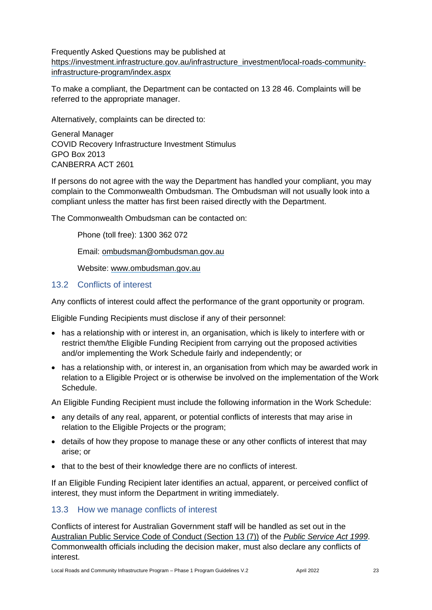Frequently Asked Questions may be published at [https://investment.infrastructure.gov.au/infrastructure\\_investment/local-roads-community](https://investment.infrastructure.gov.au/infrastructure_investment/local-roads-community-infrastructure-program/index.aspx)[infrastructure-program/index.aspx](https://investment.infrastructure.gov.au/infrastructure_investment/local-roads-community-infrastructure-program/index.aspx)

To make a compliant, the Department can be contacted on 13 28 46. Complaints will be referred to the appropriate manager.

Alternatively, complaints can be directed to:

General Manager COVID Recovery Infrastructure Investment Stimulus GPO Box 2013 CANBERRA ACT 2601

If persons do not agree with the way the Department has handled your compliant, you may complain to the [Commonwealth Ombudsman.](http://www.ombudsman.gov.au/) The Ombudsman will not usually look into a compliant unless the matter has first been raised directly with the Department.

The Commonwealth Ombudsman can be contacted on:

Phone (toll free): 1300 362 072

Email: [ombudsman@ombudsman.gov.au](mailto:ombudsman@ombudsman.gov.au)

Website: [www.ombudsman.gov.au](http://www.ombudsman.gov.au/)

#### <span id="page-22-0"></span>13.2 Conflicts of interest

Any conflicts of interest could affect the performance of the grant opportunity or program.

Eligible Funding Recipients must disclose if any of their personnel:

- has a relationship with or interest in, an organisation, which is likely to interfere with or restrict them/the Eligible Funding Recipient from carrying out the proposed activities and/or implementing the Work Schedule fairly and independently; or
- has a relationship with, or interest in, an organisation from which may be awarded work in relation to a Eligible Project or is otherwise be involved on the implementation of the Work Schedule.

An Eligible Funding Recipient must include the following information in the Work Schedule:

- any details of any real, apparent, or potential conflicts of interests that may arise in relation to the Eligible Projects or the program;
- details of how they propose to manage these or any other conflicts of interest that may arise; or
- that to the best of their knowledge there are no conflicts of interest.

If an Eligible Funding Recipient later identifies an actual, apparent, or perceived conflict of interest, they must inform the Department in writing immediately.

### <span id="page-22-1"></span>13.3 How we manage conflicts of interest

Conflicts of interest for Australian Government staff will be handled as set out in the [Australian Public Service Code of Conduct \(Section 13 \(7\)\)](https://www.apsc.gov.au/code-conduct) of the *[Public Service Act 1999](https://www.legislation.gov.au/Details/C2013C00310)*. Commonwealth officials including the decision maker, must also declare any conflicts of interest.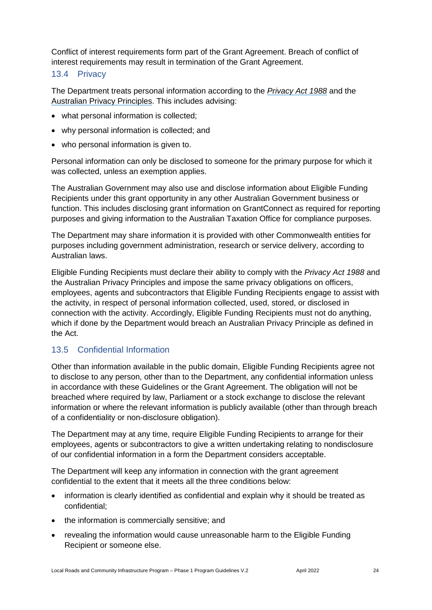Conflict of interest requirements form part of the Grant Agreement. Breach of conflict of interest requirements may result in termination of the Grant Agreement.

#### <span id="page-23-0"></span>13.4 Privacy

The Department treats personal information according to the *[Privacy Act 1988](https://www.legislation.gov.au/Details/C2014C00076)* and the [Australian Privacy Principles.](https://www.oaic.gov.au/privacy-law/privacy-act/australian-privacy-principles) This includes advising:

- what personal information is collected;
- why personal information is collected; and
- who personal information is given to.

Personal information can only be disclosed to someone for the primary purpose for which it was collected, unless an exemption applies.

The Australian Government may also use and disclose information about Eligible Funding Recipients under this grant opportunity in any other Australian Government business or function. This includes disclosing grant information on GrantConnect as required for reporting purposes and giving information to the Australian Taxation Office for compliance purposes.

The Department may share information it is provided with other Commonwealth entities for purposes including government administration, research or service delivery, according to Australian laws.

Eligible Funding Recipients must declare their ability to comply with the *Privacy Act 1988* and the Australian Privacy Principles and impose the same privacy obligations on officers, employees, agents and subcontractors that Eligible Funding Recipients engage to assist with the activity, in respect of personal information collected, used, stored, or disclosed in connection with the activity. Accordingly, Eligible Funding Recipients must not do anything, which if done by the Department would breach an Australian Privacy Principle as defined in the Act.

## <span id="page-23-1"></span>13.5 Confidential Information

Other than information available in the public domain, Eligible Funding Recipients agree not to disclose to any person, other than to the Department, any confidential information unless in accordance with these Guidelines or the Grant Agreement. The obligation will not be breached where required by law, Parliament or a stock exchange to disclose the relevant information or where the relevant information is publicly available (other than through breach of a confidentiality or non-disclosure obligation).

The Department may at any time, require Eligible Funding Recipients to arrange for their employees, agents or subcontractors to give a written undertaking relating to nondisclosure of our confidential information in a form the Department considers acceptable.

The Department will keep any information in connection with the grant agreement confidential to the extent that it meets all the three conditions below:

- information is clearly identified as confidential and explain why it should be treated as confidential;
- the information is commercially sensitive; and
- revealing the information would cause unreasonable harm to the Eligible Funding Recipient or someone else.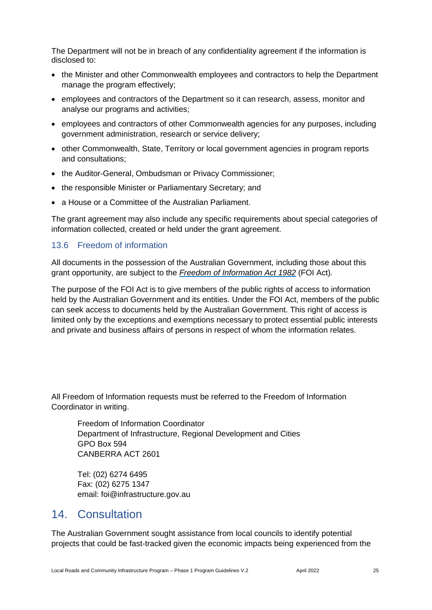The Department will not be in breach of any confidentiality agreement if the information is disclosed to:

- the Minister and other Commonwealth employees and contractors to help the Department manage the program effectively;
- employees and contractors of the Department so it can research, assess, monitor and analyse our programs and activities;
- employees and contractors of other Commonwealth agencies for any purposes, including government administration, research or service delivery;
- other Commonwealth, State, Territory or local government agencies in program reports and consultations;
- the Auditor-General, Ombudsman or Privacy Commissioner;
- the responsible Minister or Parliamentary Secretary; and
- a House or a Committee of the Australian Parliament.

The grant agreement may also include any specific requirements about special categories of information collected, created or held under the grant agreement.

### <span id="page-24-0"></span>13.6 Freedom of information

All documents in the possession of the Australian Government, including those about this grant opportunity, are subject to the *[Freedom of Information Act 1982](https://www.legislation.gov.au/Series/C2004A02562)* (FOI Act)*.*

The purpose of the FOI Act is to give members of the public rights of access to information held by the Australian Government and its entities. Under the FOI Act, members of the public can seek access to documents held by the Australian Government. This right of access is limited only by the exceptions and exemptions necessary to protect essential public interests and private and business affairs of persons in respect of whom the information relates.

All Freedom of Information requests must be referred to the Freedom of Information Coordinator in writing.

Freedom of Information Coordinator Department of Infrastructure, Regional Development and Cities GPO Box 594 CANBERRA ACT 2601

Tel: (02) 6274 6495 Fax: (02) 6275 1347 email: [foi@infrastructure.gov.au](mailto:foi@infrastructure.gov.au)

## <span id="page-24-1"></span>14. Consultation

The Australian Government sought assistance from local councils to identify potential projects that could be fast-tracked given the economic impacts being experienced from the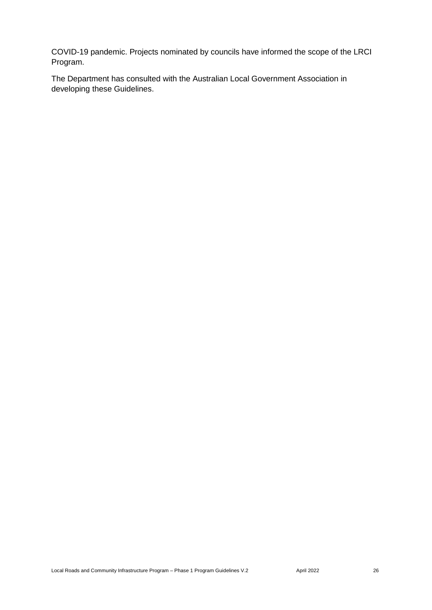COVID-19 pandemic. Projects nominated by councils have informed the scope of the LRCI Program.

The Department has consulted with the Australian Local Government Association in developing these Guidelines.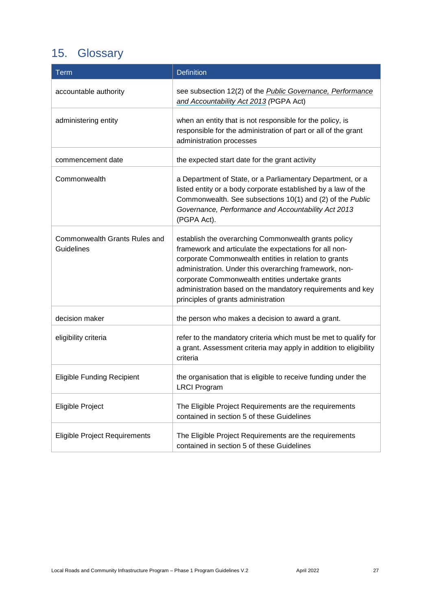# <span id="page-26-0"></span>15. Glossary

| <b>Term</b>                                        | <b>Definition</b>                                                                                                                                                                                                                                                                                                                                                                          |
|----------------------------------------------------|--------------------------------------------------------------------------------------------------------------------------------------------------------------------------------------------------------------------------------------------------------------------------------------------------------------------------------------------------------------------------------------------|
| accountable authority                              | see subsection 12(2) of the <b>Public Governance</b> , Performance<br>and Accountability Act 2013 (PGPA Act)                                                                                                                                                                                                                                                                               |
| administering entity                               | when an entity that is not responsible for the policy, is<br>responsible for the administration of part or all of the grant<br>administration processes                                                                                                                                                                                                                                    |
| commencement date                                  | the expected start date for the grant activity                                                                                                                                                                                                                                                                                                                                             |
| Commonwealth                                       | a Department of State, or a Parliamentary Department, or a<br>listed entity or a body corporate established by a law of the<br>Commonwealth. See subsections 10(1) and (2) of the Public<br>Governance, Performance and Accountability Act 2013<br>(PGPA Act).                                                                                                                             |
| Commonwealth Grants Rules and<br><b>Guidelines</b> | establish the overarching Commonwealth grants policy<br>framework and articulate the expectations for all non-<br>corporate Commonwealth entities in relation to grants<br>administration. Under this overarching framework, non-<br>corporate Commonwealth entities undertake grants<br>administration based on the mandatory requirements and key<br>principles of grants administration |
| decision maker                                     | the person who makes a decision to award a grant.                                                                                                                                                                                                                                                                                                                                          |
| eligibility criteria                               | refer to the mandatory criteria which must be met to qualify for<br>a grant. Assessment criteria may apply in addition to eligibility<br>criteria                                                                                                                                                                                                                                          |
| <b>Eligible Funding Recipient</b>                  | the organisation that is eligible to receive funding under the<br><b>LRCI Program</b>                                                                                                                                                                                                                                                                                                      |
| Eligible Project                                   | The Eligible Project Requirements are the requirements<br>contained in section 5 of these Guidelines                                                                                                                                                                                                                                                                                       |
| <b>Eligible Project Requirements</b>               | The Eligible Project Requirements are the requirements<br>contained in section 5 of these Guidelines                                                                                                                                                                                                                                                                                       |